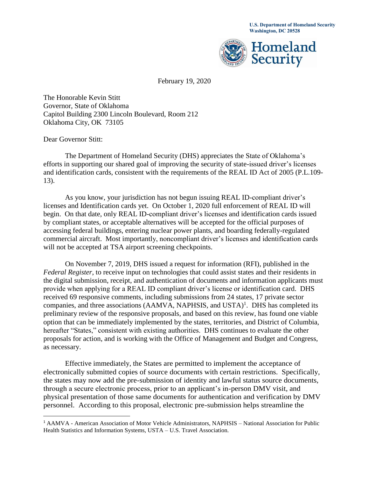

February 19, 2020

The Honorable Kevin Stitt Governor, State of Oklahoma Capitol Building 2300 Lincoln Boulevard, Room 212 Oklahoma City, OK 73105

Dear Governor Stitt:

l

The Department of Homeland Security (DHS) appreciates the State of Oklahoma's efforts in supporting our shared goal of improving the security of state-issued driver's licenses and identification cards, consistent with the requirements of the REAL ID Act of 2005 (P.L.109- 13).

 by compliant states, or acceptable alternatives will be accepted for the official purposes of As you know, your jurisdiction has not begun issuing REAL ID-compliant driver's licenses and Identification cards yet. On October 1, 2020 full enforcement of REAL ID will begin. On that date, only REAL ID-compliant driver's licenses and identification cards issued accessing federal buildings, entering nuclear power plants, and boarding federally-regulated commercial aircraft. Most importantly, noncompliant driver's licenses and identification cards will not be accepted at TSA airport screening checkpoints.

companies, and three associations ( $AAMVA$ ,  $NAPHSIS$ , and  $USTA$ <sup>1</sup>. DHS has completed its On November 7, 2019, DHS issued a request for information (RFI), published in the *Federal Register*, to receive input on technologies that could assist states and their residents in the digital submission, receipt, and authentication of documents and information applicants must provide when applying for a REAL ID compliant driver's license or identification card. DHS received 69 responsive comments, including submissions from 24 states, 17 private sector preliminary review of the responsive proposals, and based on this review, has found one viable option that can be immediately implemented by the states, territories, and District of Columbia, hereafter "States," consistent with existing authorities. DHS continues to evaluate the other proposals for action, and is working with the Office of Management and Budget and Congress, as necessary.

 electronically submitted copies of source documents with certain restrictions. Specifically, personnel. According to this proposal, electronic pre-submission helps streamline the Effective immediately, the States are permitted to implement the acceptance of the states may now add the pre-submission of identity and lawful status source documents, through a secure electronic process, prior to an applicant's in-person DMV visit, and physical presentation of those same documents for authentication and verification by DMV

<sup>&</sup>lt;sup>1</sup> AAMVA - American Association of Motor Vehicle Administrators, NAPHSIS – National Association for Public Health Statistics and Information Systems, USTA – U.S. Travel Association.